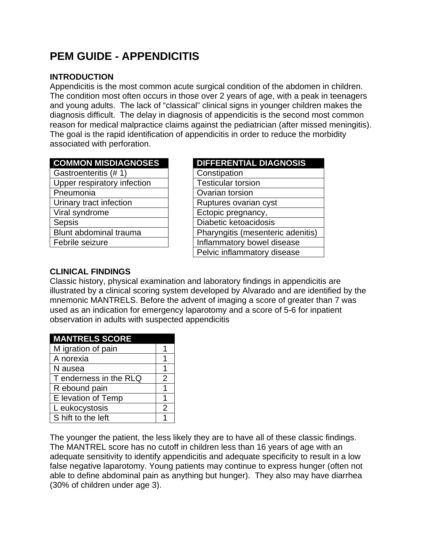# **PEM GUIDE - APPENDICITIS**

#### **INTRODUCTION**

Appendicitis is the most common acute surgical condition of the abdomen in children. The condition most often occurs in those over 2 years of age, with a peak in teenagers and young adults. The lack of "classical" clinical signs in younger children makes the diagnosis difficult. The delay in diagnosis of appendicitis is the second most common reason for medical malpractice claims against the pediatrician (after missed meningitis). The goal is the rapid identification of appendicitis in order to reduce the morbidity associated with perforation.

| <b>COMMON MISDIAGNOSES</b> |  |
|----------------------------|--|
|                            |  |

| Gastroenteritis (#1)        | Constipation                 |
|-----------------------------|------------------------------|
| Upper respiratory infection | <b>Testicular torsion</b>    |
| Pneumonia                   | Ovarian torsion              |
| Urinary tract infection     | Ruptures ovarian cyst        |
| Viral syndrome              | Ectopic pregnancy,           |
| <b>Sepsis</b>               | Diabetic ketoacidosis        |
| Blunt abdominal trauma      | Pharyngitis (mesenteric ader |
| Febrile seizure             | Inflammatory bowel disease   |
|                             |                              |

| <b>COMMON MISDIAGNOSES</b>  | <b>DIFFERENTIAL DIAGNOSIS</b>     |
|-----------------------------|-----------------------------------|
| Gastroenteritis (# 1)       | Constipation                      |
| Upper respiratory infection | <b>Testicular torsion</b>         |
| Pneumonia                   | Ovarian torsion                   |
| Urinary tract infection     | Ruptures ovarian cyst             |
| Viral syndrome              | Ectopic pregnancy,                |
| <b>Sepsis</b>               | Diabetic ketoacidosis             |
| Blunt abdominal trauma      | Pharyngitis (mesenteric adenitis) |
| Febrile seizure             | Inflammatory bowel disease        |
|                             | Pelvic inflammatory disease       |

## **CLINICAL FINDINGS**

Classic history, physical examination and laboratory findings in appendicitis are illustrated by a clinical scoring system developed by Alvarado and are identified by the mnemonic MANTRELS. Before the advent of imaging a score of greater than 7 was used as an indication for emergency laparotomy and a score of 5-6 for inpatient observation in adults with suspected appendicitis

| <b>MANTRELS SCORE</b>  |   |
|------------------------|---|
| M igration of pain     |   |
| A norexia              |   |
| N ausea                | 1 |
| T enderness in the RLQ | 2 |
| R ebound pain          |   |
| E levation of Temp     |   |
| L eukocystosis         |   |
| S hift to the left     |   |

The younger the patient, the less likely they are to have all of these classic findings. The MANTREL score has no cutoff in children less than 16 years of age with an adequate sensitivity to identify appendicitis and adequate specificity to result in a low false negative laparotomy. Young patients may continue to express hunger (often not able to define abdominal pain as anything but hunger). They also may have diarrhea (30% of children under age 3).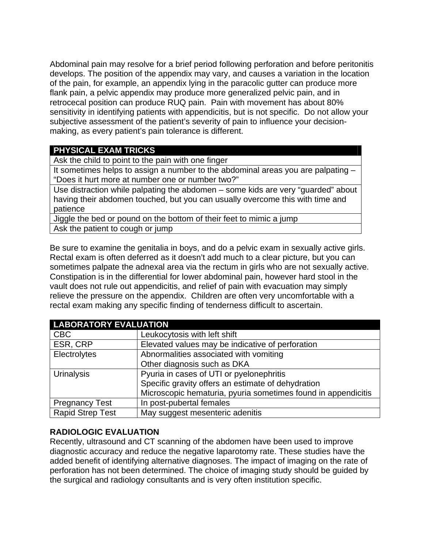Abdominal pain may resolve for a brief period following perforation and before peritonitis develops. The position of the appendix may vary, and causes a variation in the location of the pain, for example, an appendix lying in the paracolic gutter can produce more flank pain, a pelvic appendix may produce more generalized pelvic pain, and in retrocecal position can produce RUQ pain. Pain with movement has about 80% sensitivity in identifying patients with appendicitis, but is not specific. Do not allow your subjective assessment of the patient's severity of pain to influence your decisionmaking, as every patient's pain tolerance is different.

## **PHYSICAL EXAM TRICKS**

Ask the child to point to the pain with one finger

It sometimes helps to assign a number to the abdominal areas you are palpating -"Does it hurt more at number one or number two?"

Use distraction while palpating the abdomen – some kids are very "guarded" about having their abdomen touched, but you can usually overcome this with time and patience

Jiggle the bed or pound on the bottom of their feet to mimic a jump Ask the patient to cough or jump

Be sure to examine the genitalia in boys, and do a pelvic exam in sexually active girls. Rectal exam is often deferred as it doesn't add much to a clear picture, but you can sometimes palpate the adnexal area via the rectum in girls who are not sexually active. Constipation is in the differential for lower abdominal pain, however hard stool in the vault does not rule out appendicitis, and relief of pain with evacuation may simply relieve the pressure on the appendix. Children are often very uncomfortable with a rectal exam making any specific finding of tenderness difficult to ascertain.

| <b>LABORATORY EVALUATION</b> |                                                               |  |
|------------------------------|---------------------------------------------------------------|--|
| <b>CBC</b>                   | Leukocytosis with left shift                                  |  |
| ESR, CRP                     | Elevated values may be indicative of perforation              |  |
| Electrolytes                 | Abnormalities associated with vomiting                        |  |
|                              | Other diagnosis such as DKA                                   |  |
| <b>Urinalysis</b>            | Pyuria in cases of UTI or pyelonephritis                      |  |
|                              | Specific gravity offers an estimate of dehydration            |  |
|                              | Microscopic hematuria, pyuria sometimes found in appendicitis |  |
| <b>Pregnancy Test</b>        | In post-pubertal females                                      |  |
| <b>Rapid Strep Test</b>      | May suggest mesenteric adenitis                               |  |

#### **RADIOLOGIC EVALUATION**

Recently, ultrasound and CT scanning of the abdomen have been used to improve diagnostic accuracy and reduce the negative laparotomy rate. These studies have the added benefit of identifying alternative diagnoses. The impact of imaging on the rate of perforation has not been determined. The choice of imaging study should be guided by the surgical and radiology consultants and is very often institution specific.